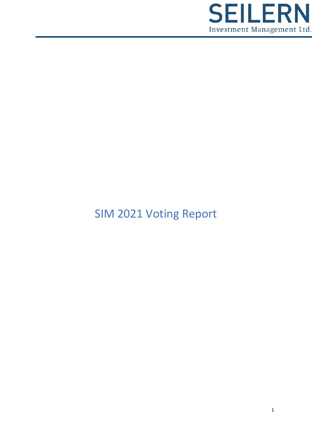

# SIM 2021 Voting Report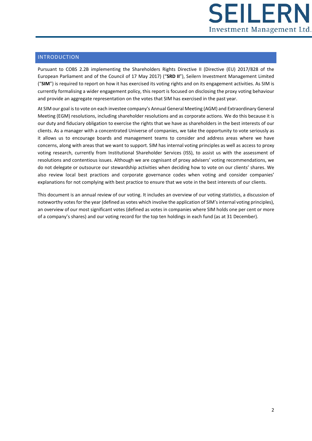

# INTRODUCTION

Pursuant to COBS 2.2B implementing the Shareholders Rights Directive II (Directive (EU) 2017/828 of the European Parliament and of the Council of 17 May 2017) ("**SRD II**"), Seilern Investment Management Limited ("**SIM**") is required to report on how it has exercised its voting rights and on its engagement activities. As SIM is currently formalising a wider engagement policy, this report is focused on disclosing the proxy voting behaviour and provide an aggregate representation on the votes that SIM has exercised in the past year.

At SIM our goal is to vote on each investee company's Annual General Meeting (AGM) and Extraordinary General Meeting (EGM) resolutions, including shareholder resolutions and as corporate actions. We do this because it is our duty and fiduciary obligation to exercise the rights that we have as shareholders in the best interests of our clients. As a manager with a concentrated Universe of companies, we take the opportunity to vote seriously as it allows us to encourage boards and management teams to consider and address areas where we have concerns, along with areas that we want to support. SIM has internal voting principles as well as access to proxy voting research, currently from Institutional Shareholder Services (ISS), to assist us with the assessment of resolutions and contentious issues. Although we are cognisant of proxy advisers' voting recommendations, we do not delegate or outsource our stewardship activities when deciding how to vote on our clients' shares. We also review local best practices and corporate governance codes when voting and consider companies' explanations for not complying with best practice to ensure that we vote in the best interests of our clients.

This document is an annual review of our voting. It includes an overview of our voting statistics, a discussion of noteworthy votes for the year (defined as votes which involve the application of SIM's internal voting principles), an overview of our most significant votes (defined as votes in companies where SIM holds one per cent or more of a company's shares) and our voting record for the top ten holdings in each fund (as at 31 December).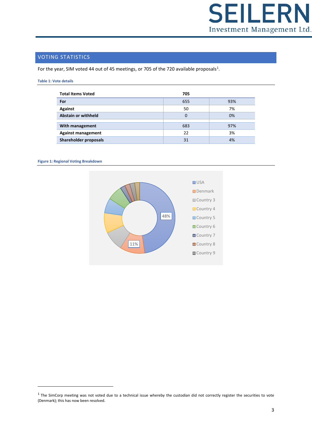

# VOTING STATISTICS

For the year, SIM voted 44 out of 45 meetings, or 705 of the 720 available proposals<sup>[1](#page-2-0)</sup>.

#### **Table 1: Vote details**

| <b>Total Items Voted</b>   | 705 |     |
|----------------------------|-----|-----|
| For                        | 655 | 93% |
| Against                    | 50  | 7%  |
| <b>Abstain or withheld</b> | 0   | 0%  |
|                            |     |     |
| With management            | 683 | 97% |
| <b>Against management</b>  | 22  | 3%  |
| Shareholder proposals      | 31  | 4%  |

#### **Figure 1: Regional Voting Breakdown**



<span id="page-2-0"></span> $1$  The SimCorp meeting was not voted due to a technical issue whereby the custodian did not correctly register the securities to vote (Denmark); this has now been resolved.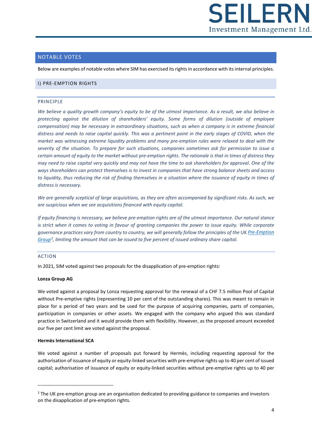

## NOTABLE VOTES

Below are examples of notable votes where SIM has exercised its rights in accordance with its internal principles.

## I) PRE-EMPTION RIGHTS

#### PRINCIPLE

*We believe a quality growth company's equity to be of the utmost importance. As a result, we also believe in protecting against the dilution of shareholders' equity. Some forms of dilution (outside of employee compensation) may be necessary in extraordinary situations, such as when a company is in extreme financial distress and needs to raise capital quickly. This was a pertinent point in the early stages of COVID, when the market was witnessing extreme liquidity problems and many pre-emption rules were relaxed to deal with the severity of the situation. To prepare for such situations, companies sometimes ask for permission to issue a certain amount of equity to the market without pre-emption rights. The rationale is that in times of distress they may need to raise capital very quickly and may not have the time to ask shareholders for approval. One of the ways shareholders can protect themselves is to invest in companies that have strong balance sheets and access*  to liquidity, thus reducing the risk of finding themselves in a situation where the issuance of equity in times of *distress is necessary.* 

*We are generally sceptical of large acquisitions, as they are often accompanied by significant risks. As such, we are suspicious when we see acquisitions financed with equity capital.* 

*If equity financing is necessary, we believe pre-emption rights are of the utmost importance. Our natural stance is* strict when it comes to voting in favour of granting companies the power to issue equity. While corporate *governance practices vary from country to country, we will generally follow the principles of the* UK *[Pre-Emption](https://www.frc.org.uk/medialibraries/FRC/FRC-Document-Library/Preemption%20Group/Revised-PEG-Statement-of-Principles-2015.pdf)  [Group](https://www.frc.org.uk/medialibraries/FRC/FRC-Document-Library/Preemption%20Group/Revised-PEG-Statement-of-Principles-2015.pdf)[2](#page-3-0) , limiting the amount that can be issued to five percent of issued ordinary share capital.* 

## ACTION

In 2021, SIM voted against two proposals for the disapplication of pre-emption rights:

#### **Lonza Group AG**

We voted against a proposal by Lonza requesting approval for the renewal of a CHF 7.5 million Pool of Capital without Pre-emptive rights (representing 10 per cent of the outstanding shares). This was meant to remain in place for a period of two years and be used for the purpose of acquiring companies, parts of companies, participation in companies or other assets. We engaged with the company who argued this was standard practice in Switzerland and it would provide them with flexibility. However, as the proposed amount exceeded our five per cent limit we voted against the proposal.

## **Hermès International SCA**

We voted against a number of proposals put forward by Hermès, including requesting approval for the authorisation of issuance of equity or equity-linked securities with pre-emptive rights up to 40 per cent of issued capital; authorisation of issuance of equity or equity-linked securities without pre-emptive rights up to 40 per

<span id="page-3-0"></span> $<sup>2</sup>$  The UK pre-emption group are an organisation dedicated to providing guidance to companies and investors</sup> on the disapplication of pre-emption rights.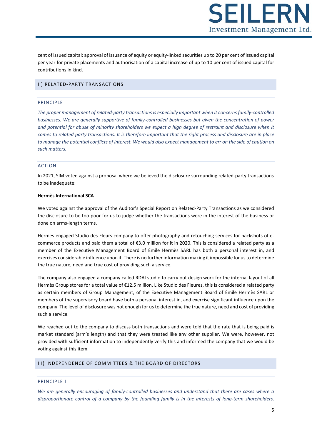**SEILER** Investment Management Ltd.

cent of issued capital; approval of issuance of equity or equity-linked securities up to 20 per cent of issued capital per year for private placements and authorisation of a capital increase of up to 10 per cent of issued capital for contributions in kind.

## II) RELATED-PARTY TRANSACTIONS

#### PRINCIPLE

*The proper management of related-party transactions is especially important when it concerns family-controlled businesses. We are generally supportive of family-controlled businesses but given the concentration of power and potential for abuse of minority shareholders we expect a high degree of restraint and disclosure when it comes to related-party transactions. It is therefore important that the right process and disclosure are in place*  to manage the potential conflicts of interest. We would also expect management to err on the side of caution on *such matters.* 

#### ACTION

In 2021, SIM voted against a proposal where we believed the disclosure surrounding related-party transactions to be inadequate:

#### **Hermès International SCA**

We voted against the approval of the Auditor's Special Report on Related-Party Transactions as we considered the disclosure to be too poor for us to judge whether the transactions were in the interest of the business or done on arms-length terms.

Hermes engaged Studio des Fleurs company to offer photography and retouching services for packshots of ecommerce products and paid them a total of €3.0 million for it in 2020. This is considered a related party as a member of the Executive Management Board of Émile Hermès SARL has both a personal interest in, and exercises considerable influence upon it. There is no further information making it impossible for us to determine the true nature, need and true cost of providing such a service.

The company also engaged a company called RDAI studio to carry out design work for the internal layout of all Hermès Group stores for a total value of €12.5 million. Like Studio des Fleures, this is considered a related party as certain members of Group Management, of the Executive Management Board of Émile Hermès SARL or members of the supervisory board have both a personal interest in, and exercise significant influence upon the company. The level of disclosure was not enough for us to determine the true nature, need and cost of providing such a service.

We reached out to the company to discuss both transactions and were told that the rate that is being paid is market standard (arm's length) and that they were treated like any other supplier. We were, however, not provided with sufficient information to independently verify this and informed the company that we would be voting against this item.

## III) INDEPENDENCE OF COMMITTEES & THE BOARD OF DIRECTORS

## PRINCIPLE I

*We are generally encouraging of family-controlled businesses and understand that there are cases where a disproportionate control of a company by the founding family is in the interests of long-term shareholders,*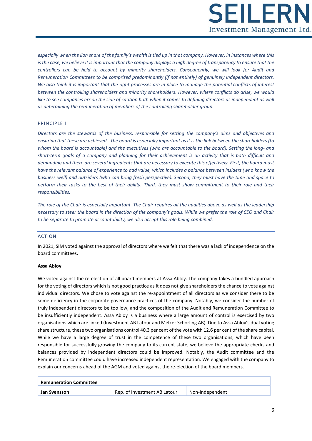

*especially when the lion share of the family's wealth is tied up in that company. However, in instances where this is the case, we believe it is important that the company displays a high degree of transparency to ensure that the controllers can be held to account by minority shareholders. Consequently, we will look for Audit and Remuneration Committees to be comprised predominantly (if not entirely) of genuinely independent directors. We also think it is important that the right processes are in place to manage the potential conflicts of interest between the controlling shareholders and minority shareholders. However, where conflicts do arise, we would like to see companies err on the side of caution both when it comes to defining directors as independent as well as determining the remuneration of members of the controlling shareholder group.* 

## PRINCIPLE II

*Directors are the stewards of the business, responsible for setting the company's aims and objectives and ensuring that these are achieved . The board is especially important as it is the link between the shareholders (to whom the board is accountable) and the executives (who are accountable to the board). Setting the long- and short-term goals of a company and planning for their achievement is an activity that is both difficult and demanding and there are several ingredients that are necessary to execute this effectively. First, the board must have the relevant balance of experience to add value, which includes a balance between insiders (who know the business well) and outsiders (who can bring fresh perspective). Second, they must have the time and space to perform their tasks to the best of their ability. Third, they must show commitment to their role and their responsibilities.*

*The role of the Chair is especially important. The Chair requires all the qualities above as well as the leadership necessary to steer the board in the direction of the company's goals. While we prefer the role of CEO and Chair to be separate to promote accountability, we also accept this role being combined.*

#### ACTION

In 2021, SIM voted against the approval of directors where we felt that there was a lack of independence on the board committees.

#### **Assa Abloy**

We voted against the re-election of all board members at Assa Abloy. The company takes a bundled approach for the voting of directors which is not good practice as it does not give shareholders the chance to vote against individual directors. We chose to vote against the re-appointment of all directors as we consider there to be some deficiency in the corporate governance practices of the company. Notably, we consider the number of truly independent directors to be too low, and the composition of the Audit and Remuneration Committee to be insufficiently independent. Assa Abloy is a business where a large amount of control is exercised by two organisations which are linked (Investment AB Latour and Melker Schorling AB). Due to Assa Abloy's dual voting share structure, these two organisations control 40.3 per cent of the vote with 12.6 per cent of the share capital. While we have a large degree of trust in the competence of these two organisations, which have been responsible for successfully growing the company to its current state, we believe the appropriate checks and balances provided by independent directors could be improved. Notably, the Audit committee and the Remuneration committee could have increased independent representation. We engaged with the company to explain our concerns ahead of the AGM and voted against the re-election of the board members.

| <b>Remuneration Committee</b> |                              |                 |
|-------------------------------|------------------------------|-----------------|
| Jan Svensson                  | Rep. of Investment AB Latour | Non-Independent |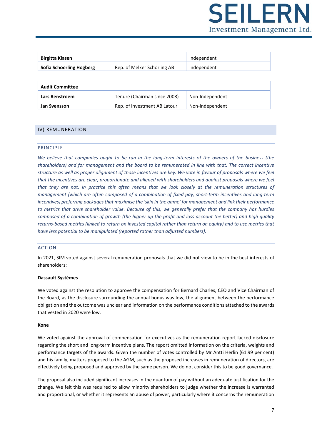

| <b>Birgitta Klasen</b>          |                             | Independent |
|---------------------------------|-----------------------------|-------------|
| <b>Sofia Schoerling Hogberg</b> | Rep. of Melker Schorling AB | Independent |
|                                 |                             |             |

| <b>Audit Committee</b> |                              |                 |
|------------------------|------------------------------|-----------------|
| Lars Renstroem         | Tenure (Chairman since 2008) | Non-Independent |
| Jan Svensson           | Rep. of Investment AB Latour | Non-Independent |

## IV) REMUNERATION

## **PRINCIPLE**

*We believe that companies ought to be run in the long-term interests of the owners of the business (the shareholders) and for management and the board to be remunerated in line with that. The correct incentive structure as well as proper alignment of those incentives are key. We vote in favour of proposals where we feel that the incentives are clear, proportionate and aligned with shareholders and against proposals where we feel that they are not. In practice this often means that we look closely at the remuneration structures of management (which are often composed of a combination of fixed pay, short-term incentives and long-term incentives) preferring packages that maximise the 'skin in the game' for management and link their performance to metrics that drive shareholder value. Because of this, we generally prefer that the company has hurdles composed of a combination of growth (the higher up the profit and loss account the better) and high-quality returns-based metrics (linked to return on invested capital rather than return on equity) and to use metrics that have less potential to be manipulated (reported rather than adjusted numbers).*

## ACTION

In 2021, SIM voted against several remuneration proposals that we did not view to be in the best interests of shareholders:

#### **Dassault Systèmes**

We voted against the resolution to approve the compensation for Bernard Charles, CEO and Vice Chairman of the Board, as the disclosure surrounding the annual bonus was low, the alignment between the performance obligation and the outcome was unclear and information on the performance conditions attached to the awards that vested in 2020 were low.

#### **Kone**

We voted against the approval of compensation for executives as the remuneration report lacked disclosure regarding the short and long-term incentive plans. The report omitted information on the criteria, weights and performance targets of the awards. Given the number of votes controlled by Mr Antti Herlin (61.99 per cent) and his family, matters proposed to the AGM, such as the proposed increases in remuneration of directors, are effectively being proposed and approved by the same person. We do not consider this to be good governance.

The proposal also included significant increases in the quantum of pay without an adequate justification for the change. We felt this was required to allow minority shareholders to judge whether the increase is warranted and proportional, or whether it represents an abuse of power, particularly where it concerns the remuneration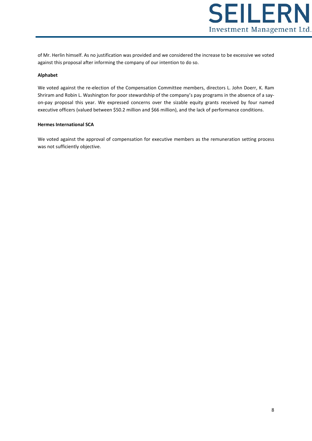

of Mr. Herlin himself. As no justification was provided and we considered the increase to be excessive we voted against this proposal after informing the company of our intention to do so.

## **Alphabet**

We voted against the re-election of the Compensation Committee members, directors L. John Doerr, K. Ram Shriram and Robin L. Washington for poor stewardship of the company's pay programs in the absence of a sayon-pay proposal this year. We expressed concerns over the sizable equity grants received by four named executive officers (valued between \$50.2 million and \$66 million), and the lack of performance conditions.

#### **Hermes International SCA**

We voted against the approval of compensation for executive members as the remuneration setting process was not sufficiently objective.